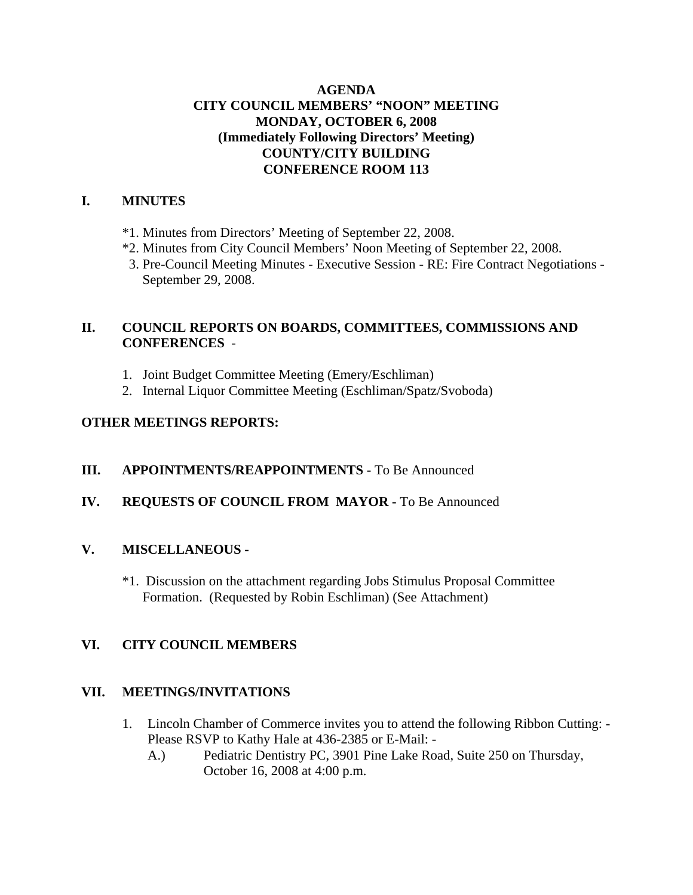## **AGENDA CITY COUNCIL MEMBERS' "NOON" MEETING MONDAY, OCTOBER 6, 2008 (Immediately Following Directors' Meeting) COUNTY/CITY BUILDING CONFERENCE ROOM 113**

## **I. MINUTES**

- \*1. Minutes from Directors' Meeting of September 22, 2008.
- \*2. Minutes from City Council Members' Noon Meeting of September 22, 2008.
- 3. Pre-Council Meeting Minutes Executive Session RE: Fire Contract Negotiations September 29, 2008.

## **II. COUNCIL REPORTS ON BOARDS, COMMITTEES, COMMISSIONS AND CONFERENCES** -

- 1. Joint Budget Committee Meeting (Emery/Eschliman)
- 2. Internal Liquor Committee Meeting (Eschliman/Spatz/Svoboda)

## **OTHER MEETINGS REPORTS:**

## **III.** APPOINTMENTS/REAPPOINTMENTS - To Be Announced

## **IV. REQUESTS OF COUNCIL FROM MAYOR -** To Be Announced

## **V. MISCELLANEOUS -**

\*1. Discussion on the attachment regarding Jobs Stimulus Proposal Committee Formation. (Requested by Robin Eschliman) (See Attachment)

## **VI. CITY COUNCIL MEMBERS**

## **VII. MEETINGS/INVITATIONS**

- 1. Lincoln Chamber of Commerce invites you to attend the following Ribbon Cutting: Please RSVP to Kathy Hale at 436-2385 or E-Mail: -
	- A.) Pediatric Dentistry PC, 3901 Pine Lake Road, Suite 250 on Thursday, October 16, 2008 at 4:00 p.m.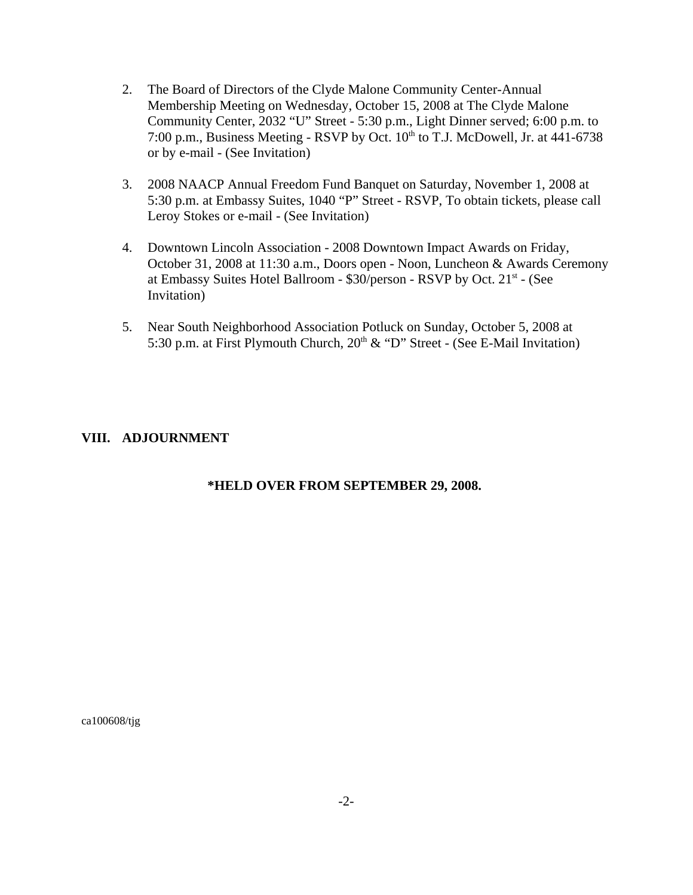- 2. The Board of Directors of the Clyde Malone Community Center-Annual Membership Meeting on Wednesday, October 15, 2008 at The Clyde Malone Community Center, 2032 "U" Street - 5:30 p.m., Light Dinner served; 6:00 p.m. to 7:00 p.m., Business Meeting - RSVP by Oct.  $10^{th}$  to T.J. McDowell, Jr. at  $441-6738$ or by e-mail - (See Invitation)
- 3. 2008 NAACP Annual Freedom Fund Banquet on Saturday, November 1, 2008 at 5:30 p.m. at Embassy Suites, 1040 "P" Street - RSVP, To obtain tickets, please call Leroy Stokes or e-mail - (See Invitation)
- 4. Downtown Lincoln Association 2008 Downtown Impact Awards on Friday, October 31, 2008 at 11:30 a.m., Doors open - Noon, Luncheon & Awards Ceremony at Embassy Suites Hotel Ballroom - \$30/person - RSVP by Oct. 21<sup>st</sup> - (See Invitation)
- 5. Near South Neighborhood Association Potluck on Sunday, October 5, 2008 at 5:30 p.m. at First Plymouth Church,  $20<sup>th</sup>$  & "D" Street - (See E-Mail Invitation)

## **VIII. ADJOURNMENT**

## **\*HELD OVER FROM SEPTEMBER 29, 2008.**

ca100608/tjg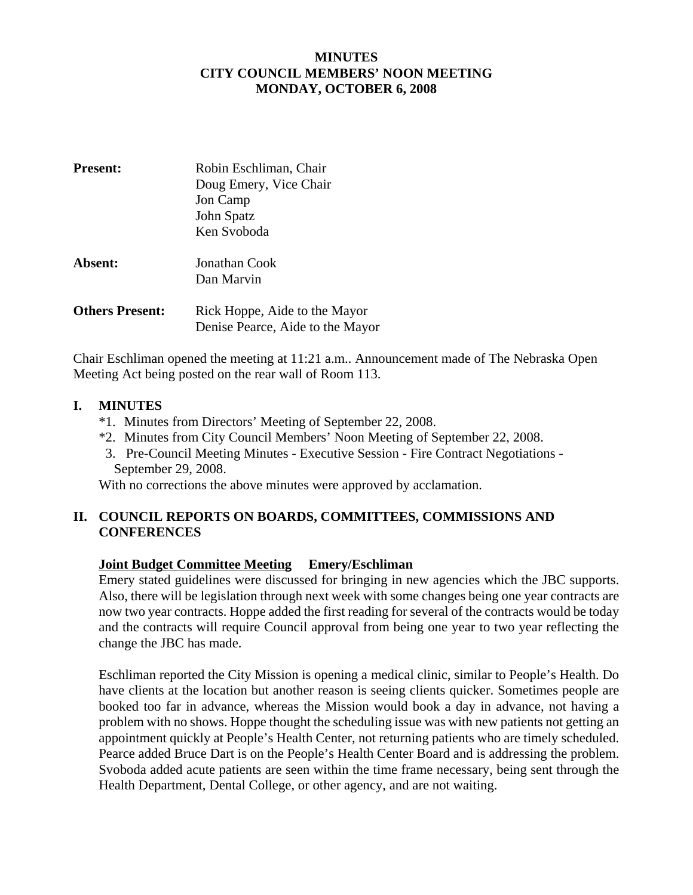## **MINUTES CITY COUNCIL MEMBERS' NOON MEETING MONDAY, OCTOBER 6, 2008**

| <b>Present:</b>        | Robin Eschliman, Chair           |  |
|------------------------|----------------------------------|--|
|                        | Doug Emery, Vice Chair           |  |
|                        | Jon Camp                         |  |
|                        | John Spatz                       |  |
|                        | Ken Svoboda                      |  |
| Absent:                | Jonathan Cook                    |  |
|                        | Dan Marvin                       |  |
| <b>Others Present:</b> | Rick Hoppe, Aide to the Mayor    |  |
|                        | Denise Pearce, Aide to the Mayor |  |

Chair Eschliman opened the meeting at 11:21 a.m.. Announcement made of The Nebraska Open Meeting Act being posted on the rear wall of Room 113.

## **I. MINUTES**

- \*1. Minutes from Directors' Meeting of September 22, 2008.
- \*2. Minutes from City Council Members' Noon Meeting of September 22, 2008.
- 3. Pre-Council Meeting Minutes Executive Session Fire Contract Negotiations September 29, 2008.

With no corrections the above minutes were approved by acclamation.

## **II. COUNCIL REPORTS ON BOARDS, COMMITTEES, COMMISSIONS AND CONFERENCES**

## **Joint Budget Committee Meeting Emery/Eschliman**

Emery stated guidelines were discussed for bringing in new agencies which the JBC supports. Also, there will be legislation through next week with some changes being one year contracts are now two year contracts. Hoppe added the first reading for several of the contracts would be today and the contracts will require Council approval from being one year to two year reflecting the change the JBC has made.

Eschliman reported the City Mission is opening a medical clinic, similar to People's Health. Do have clients at the location but another reason is seeing clients quicker. Sometimes people are booked too far in advance, whereas the Mission would book a day in advance, not having a problem with no shows. Hoppe thought the scheduling issue was with new patients not getting an appointment quickly at People's Health Center, not returning patients who are timely scheduled. Pearce added Bruce Dart is on the People's Health Center Board and is addressing the problem. Svoboda added acute patients are seen within the time frame necessary, being sent through the Health Department, Dental College, or other agency, and are not waiting.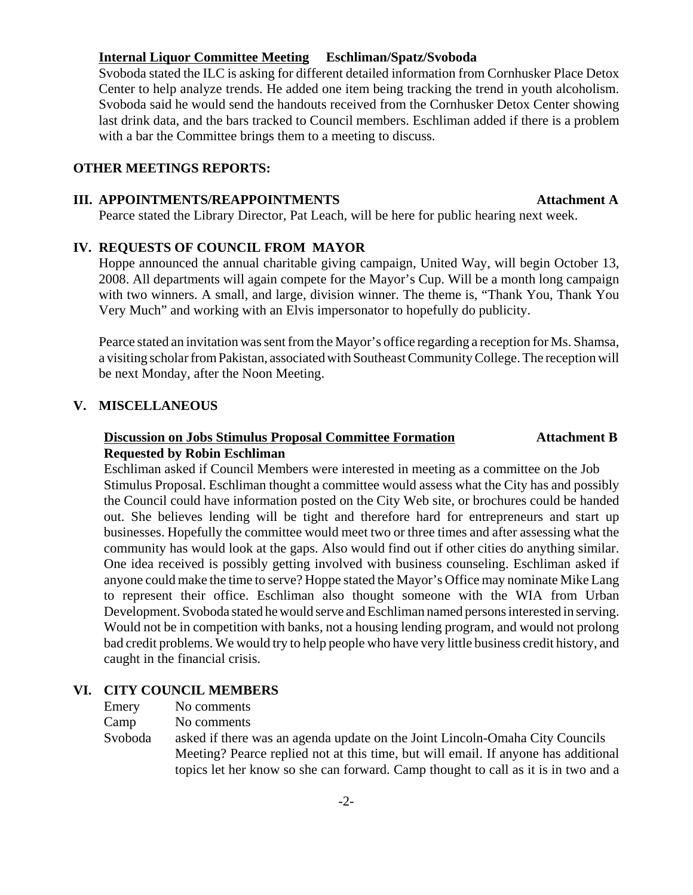#### **Internal Liquor Committee Meeting Eschliman/Spatz/Svoboda**

Svoboda stated the ILC is asking for different detailed information from Cornhusker Place Detox Center to help analyze trends. He added one item being tracking the trend in youth alcoholism. Svoboda said he would send the handouts received from the Cornhusker Detox Center showing last drink data, and the bars tracked to Council members. Eschliman added if there is a problem with a bar the Committee brings them to a meeting to discuss.

## **OTHER MEETINGS REPORTS:**

#### **III. APPOINTMENTS/REAPPOINTMENTS Attachment A**

Pearce stated the Library Director, Pat Leach, will be here for public hearing next week.

#### **IV. REQUESTS OF COUNCIL FROM MAYOR**

Hoppe announced the annual charitable giving campaign, United Way, will begin October 13, 2008. All departments will again compete for the Mayor's Cup. Will be a month long campaign with two winners. A small, and large, division winner. The theme is, "Thank You, Thank You Very Much" and working with an Elvis impersonator to hopefully do publicity.

Pearce stated an invitation was sent from the Mayor's office regarding a reception for Ms. Shamsa, a visiting scholar from Pakistan, associated with Southeast Community College. The reception will be next Monday, after the Noon Meeting.

## **V. MISCELLANEOUS**

## **Discussion on Jobs Stimulus Proposal Committee Formation Attachment B Requested by Robin Eschliman**

Eschliman asked if Council Members were interested in meeting as a committee on the Job Stimulus Proposal. Eschliman thought a committee would assess what the City has and possibly the Council could have information posted on the City Web site, or brochures could be handed out. She believes lending will be tight and therefore hard for entrepreneurs and start up businesses. Hopefully the committee would meet two or three times and after assessing what the community has would look at the gaps. Also would find out if other cities do anything similar. One idea received is possibly getting involved with business counseling. Eschliman asked if anyone could make the time to serve? Hoppe stated the Mayor's Office may nominate Mike Lang to represent their office. Eschliman also thought someone with the WIA from Urban Development. Svoboda stated he would serve and Eschliman named persons interested in serving. Would not be in competition with banks, not a housing lending program, and would not prolong bad credit problems. We would try to help people who have very little business credit history, and caught in the financial crisis.

### **VI. CITY COUNCIL MEMBERS**

Emery No comments

Camp No comments

Svoboda asked if there was an agenda update on the Joint Lincoln-Omaha City Councils Meeting? Pearce replied not at this time, but will email. If anyone has additional topics let her know so she can forward. Camp thought to call as it is in two and a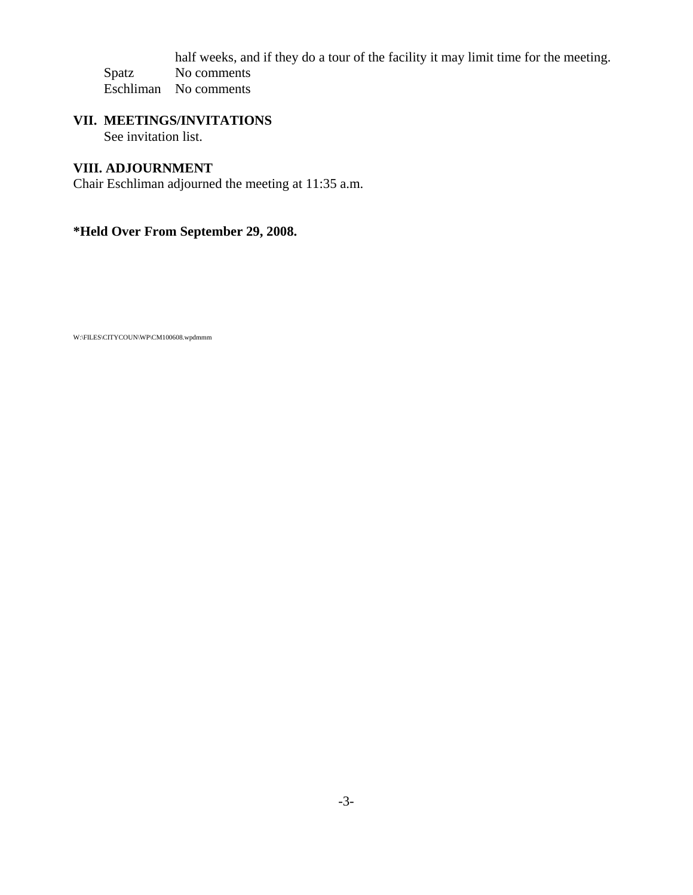half weeks, and if they do a tour of the facility it may limit time for the meeting. Spatz No comments Eschliman No comments

## **VII. MEETINGS/INVITATIONS** See invitation list.

## **VIII. ADJOURNMENT**

Chair Eschliman adjourned the meeting at 11:35 a.m.

## **\*Held Over From September 29, 2008.**

W:\FILES\CITYCOUN\WP\CM100608.wpdmmm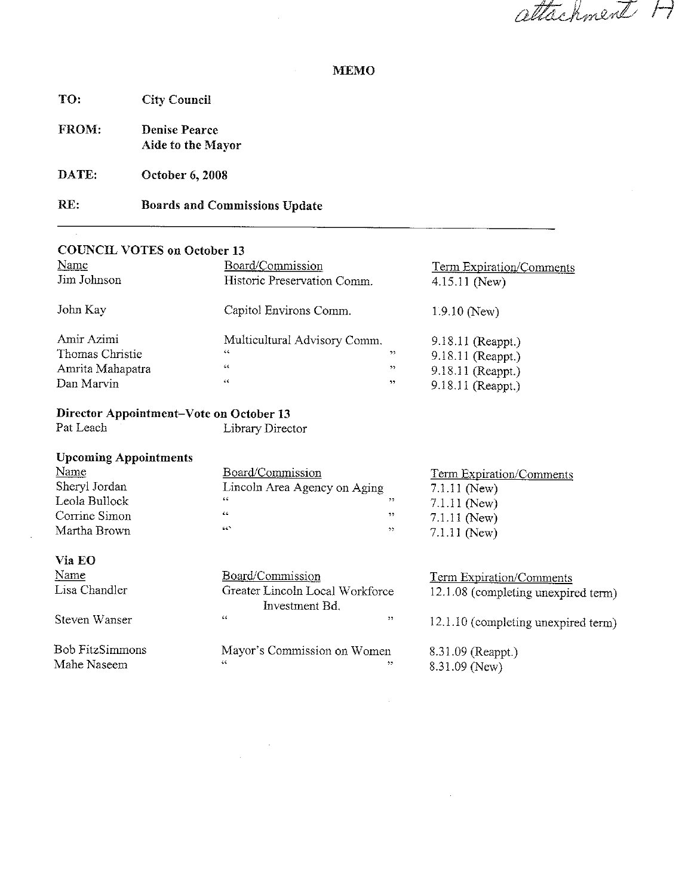attachment H

### **MEMO**

| TO:   | <b>City Council</b>                       |
|-------|-------------------------------------------|
| FROM: | <b>Denise Pearce</b><br>Aide to the Mayor |

DATE: October 6, 2008

#### RE: **Boards and Commissions Update**

## **COUNCIL VOTES on October 13**

| Name             | Board/Commission             |    | <b>Term Expiration/Comments</b> |
|------------------|------------------------------|----|---------------------------------|
| Jim Johnson      | Historic Preservation Comm.  |    | $4.15.11$ (New)                 |
| John Kay         | Capitol Environs Comm.       |    | $1.9.10$ (New)                  |
| Amir Azimi       | Multicultural Advisory Comm. |    | $9.18.11$ (Reappt.)             |
| Thomas Christie  | 66                           | 55 | 9.18.11 (Reappt.)               |
| Amrita Mahapatra | $\mathsf{c}\,\mathsf{c}$     | 55 | 9.18.11 (Reappt.)               |
| Dan Marvin       | 46                           | 22 | 9.18.11 (Reappt.)               |

## Director Appointment-Vote on October 13

Pat Leach

Library Director

 $\bar{\mathcal{L}}$ 

| <b>Upcoming Appointments</b> |                              |     |                                 |
|------------------------------|------------------------------|-----|---------------------------------|
| <b>Name</b>                  | Board/Commission             |     | <b>Term Expiration/Comments</b> |
| Sheryl Jordan                | Lincoln Area Agency on Aging |     | $7.1.11$ (New)                  |
| Leola Bullock                | 66                           | , 7 | $7.1.11$ (New)                  |
| Corrine Simon                | 65                           | 22  | $7.1.11$ (New)                  |
| Martha Brown                 | ACT.                         | 22  | $7.1.11$ (New)                  |
|                              |                              |     |                                 |

|--|--|

| Name          | Board/Commission                | <b>Term Expiration/Comments</b>     |
|---------------|---------------------------------|-------------------------------------|
| Lisa Chandler | Greater Lincoln Local Workforce | 12.1.08 (completing unexpired term) |
|               | Investment Bd.                  |                                     |
| Steven Wanser | 46<br>,,                        | 12.1.10 (completing unexpired term) |
|               |                                 |                                     |

**Bob FitzSimmons** Mahe Naseem

Mayor's Commission on Women 8.31.09 (Reappt.)  $\overline{\mathbf{y}}$  $8.31.09$  (New)